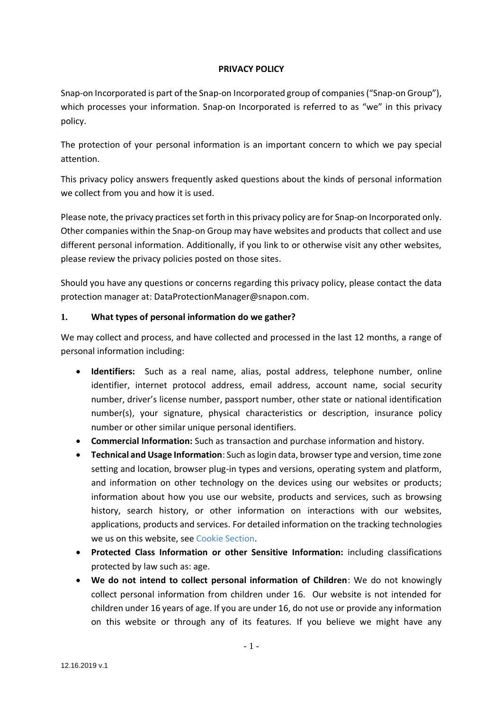### **PRIVACY POLICY**

Snap-on Incorporated is part of the Snap-on Incorporated group of companies("Snap-on Group"), which processes your information. Snap-on Incorporated is referred to as "we" in this privacy policy.

The protection of your personal information is an important concern to which we pay special attention.

This privacy policy answers frequently asked questions about the kinds of personal information we collect from you and how it is used.

Please note, the privacy practices set forth in this privacy policy are for Snap-on Incorporated only. Other companies within the Snap-on Group may have websites and products that collect and use different personal information. Additionally, if you link to or otherwise visit any other websites, please review the privacy policies posted on those sites.

Should you have any questions or concerns regarding this privacy policy, please contact the data protection manager at: [DataProtectionManager@snapon.com.](mailto:DataProtectionManager@snapon.com)

### **1. What types of personal information do we gather?**

We may collect and process, and have collected and processed in the last 12 months, a range of personal information including:

- **Identifiers:** Such as a real name, alias, postal address, telephone number, online identifier, internet protocol address, email address, account name, social security number, driver's license number, passport number, other state or national identification number(s), your signature, physical characteristics or description, insurance policy number or other similar unique personal identifiers.
- **Commercial Information:** Such as transaction and purchase information and history.
- **Technical and Usage Information**: Such aslogin data, browser type and version, time zone setting and location, browser plug-in types and versions, operating system and platform, and information on other technology on the devices using our websites or products; information about how you use our website, products and services, such as browsing history, search history, or other information on interactions with our websites, applications, products and services. For detailed information on the tracking technologies we us on this website, see [Cookie Section.](#page-6-0)
- **Protected Class Information or other Sensitive Information:** including classifications protected by law such as: age.
- **We do not intend to collect personal information of Children**: We do not knowingly collect personal information from children under 16. Our website is not intended for children under 16 years of age. If you are under 16, do not use or provide any information on this website or through any of its features. If you believe we might have any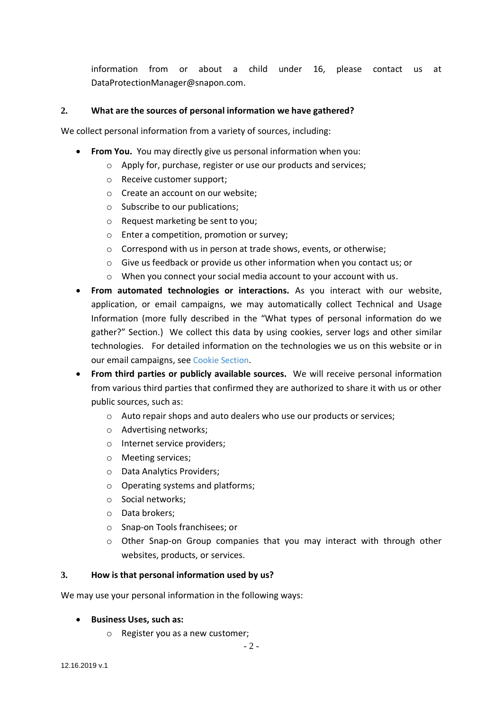information from or about a child under 16, please contact us at [DataProtectionManager@snapon.com.](mailto:DataProtectionManager@snapon.com)

### **2. What are the sources of personal information we have gathered?**

We collect personal information from a variety of sources, including:

- **From You.** You may directly give us personal information when you:
	- o Apply for, purchase, register or use our products and services;
	- o Receive customer support;
	- o Create an account on our website;
	- o Subscribe to our publications;
	- o Request marketing be sent to you;
	- o Enter a competition, promotion or survey;
	- o Correspond with us in person at trade shows, events, or otherwise;
	- o Give us feedback or provide us other information when you contact us; or
	- o When you connect your social media account to your account with us.
- **From automated technologies or interactions.** As you interact with our website, application, or email campaigns, we may automatically collect Technical and Usage Information (more fully described in the "What types of personal information do we gather?" Section.) We collect this data by using cookies, server logs and other similar technologies. For detailed information on the technologies we us on this website or in our email campaigns, see [Cookie Section](#page-6-0).
- **From third parties or publicly available sources.** We will receive personal information from various third parties that confirmed they are authorized to share it with us or other public sources, such as:
	- o Auto repair shops and auto dealers who use our products or services;
	- o Advertising networks;
	- o Internet service providers;
	- o Meeting services;
	- o Data Analytics Providers;
	- o Operating systems and platforms;
	- o Social networks;
	- o Data brokers;
	- o Snap-on Tools franchisees; or
	- $\circ$  Other Snap-on Group companies that you may interact with through other websites, products, or services.

#### **3. How is that personal information used by us?**

We may use your personal information in the following ways:

#### • **Business Uses, such as:**

o Register you as a new customer;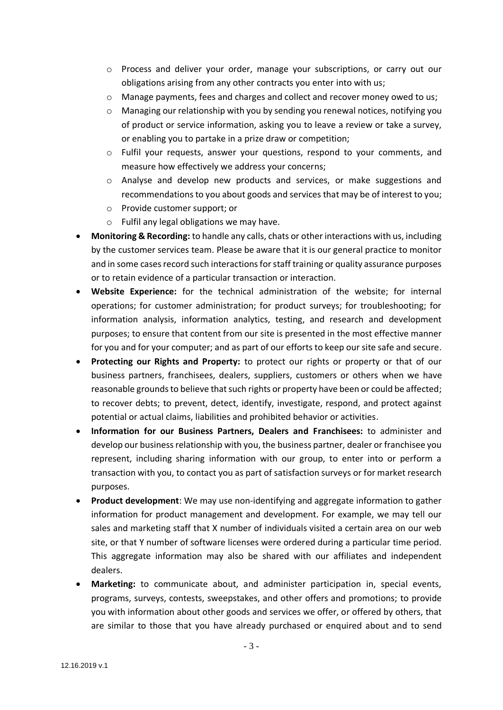- o Process and deliver your order, manage your subscriptions, or carry out our obligations arising from any other contracts you enter into with us;
- o Manage payments, fees and charges and collect and recover money owed to us;
- $\circ$  Managing our relationship with you by sending you renewal notices, notifying you of product or service information, asking you to leave a review or take a survey, or enabling you to partake in a prize draw or competition;
- o Fulfil your requests, answer your questions, respond to your comments, and measure how effectively we address your concerns;
- o Analyse and develop new products and services, or make suggestions and recommendations to you about goods and services that may be of interest to you;
- o Provide customer support; or
- o Fulfil any legal obligations we may have.
- **Monitoring & Recording:** to handle any calls, chats or other interactions with us, including by the customer services team. Please be aware that it is our general practice to monitor and in some cases record such interactions for staff training or quality assurance purposes or to retain evidence of a particular transaction or interaction.
- **Website Experience:** for the technical administration of the website; for internal operations; for customer administration; for product surveys; for troubleshooting; for information analysis, information analytics, testing, and research and development purposes; to ensure that content from our site is presented in the most effective manner for you and for your computer; and as part of our efforts to keep our site safe and secure.
- **Protecting our Rights and Property:** to protect our rights or property or that of our business partners, franchisees, dealers, suppliers, customers or others when we have reasonable grounds to believe that such rights or property have been or could be affected; to recover debts; to prevent, detect, identify, investigate, respond, and protect against potential or actual claims, liabilities and prohibited behavior or activities.
- **Information for our Business Partners, Dealers and Franchisees:** to administer and develop our business relationship with you, the business partner, dealer or franchisee you represent, including sharing information with our group, to enter into or perform a transaction with you, to contact you as part of satisfaction surveys or for market research purposes.
- **Product development**: We may use non-identifying and aggregate information to gather information for product management and development. For example, we may tell our sales and marketing staff that X number of individuals visited a certain area on our web site, or that Y number of software licenses were ordered during a particular time period. This aggregate information may also be shared with our affiliates and independent dealers.
- **Marketing:** to communicate about, and administer participation in, special events, programs, surveys, contests, sweepstakes, and other offers and promotions; to provide you with information about other goods and services we offer, or offered by others, that are similar to those that you have already purchased or enquired about and to send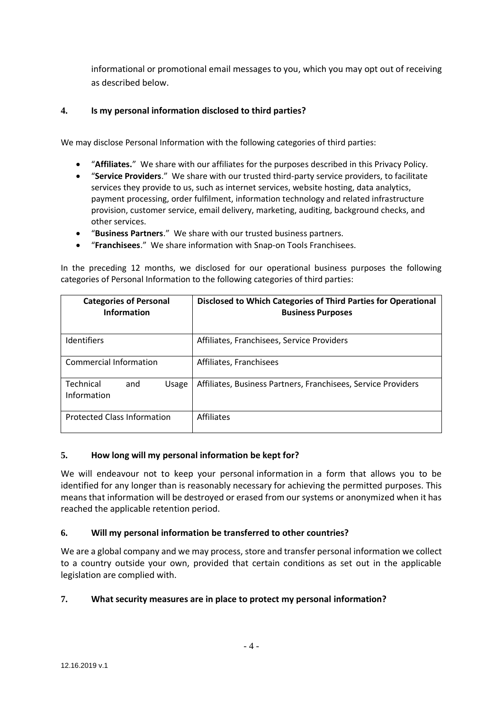informational or promotional email messages to you, which you may opt out of receiving as described below.

## **4. Is my personal information disclosed to third parties?**

We may disclose Personal Information with the following categories of third parties:

- "**Affiliates.**" We share with our affiliates for the purposes described in this Privacy Policy.
- "**Service Providers**." We share with our trusted third-party service providers, to facilitate services they provide to us, such as internet services, website hosting, data analytics, payment processing, order fulfilment, information technology and related infrastructure provision, customer service, email delivery, marketing, auditing, background checks, and other services.
- "**Business Partners**." We share with our trusted business partners.
- "**Franchisees**." We share information with Snap-on Tools Franchisees.

In the preceding 12 months, we disclosed for our operational business purposes the following categories of Personal Information to the following categories of third parties:

| <b>Categories of Personal</b><br><b>Information</b> | Disclosed to Which Categories of Third Parties for Operational<br><b>Business Purposes</b> |
|-----------------------------------------------------|--------------------------------------------------------------------------------------------|
| <b>Identifiers</b>                                  | Affiliates, Franchisees, Service Providers                                                 |
| <b>Commercial Information</b>                       | Affiliates, Franchisees                                                                    |
| Technical<br>and<br>Usage<br>Information            | Affiliates, Business Partners, Franchisees, Service Providers                              |
| <b>Protected Class Information</b>                  | <b>Affiliates</b>                                                                          |

#### **5. How long will my personal information be kept for?**

We will endeavour not to keep your personal information in a form that allows you to be identified for any longer than is reasonably necessary for achieving the permitted purposes. This means that information will be destroyed or erased from our systems or anonymized when it has reached the applicable retention period.

### **6. Will my personal information be transferred to other countries?**

We are a global company and we may process, store and transfer personal information we collect to a country outside your own, provided that certain conditions as set out in the applicable legislation are complied with.

### **7. What security measures are in place to protect my personal information?**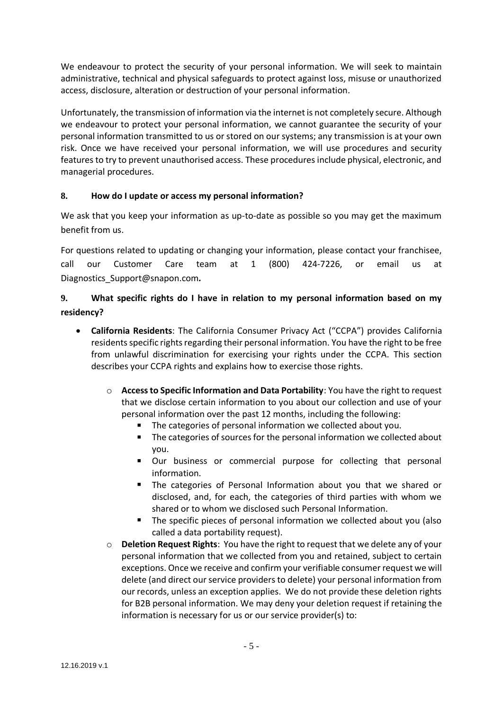We endeavour to protect the security of your personal information. We will seek to maintain administrative, technical and physical safeguards to protect against loss, misuse or unauthorized access, disclosure, alteration or destruction of your personal information.

Unfortunately, the transmission of information via the internet is not completely secure. Although we endeavour to protect your personal information, we cannot guarantee the security of your personal information transmitted to us or stored on our systems; any transmission is at your own risk. Once we have received your personal information, we will use procedures and security features to try to prevent unauthorised access. These procedures include physical, electronic, and managerial procedures.

## **8. How do I update or access my personal information?**

We ask that you keep your information as up-to-date as possible so you may get the maximum benefit from us.

For questions related to updating or changing your information, please contact your franchisee, call our Customer Care team at 1 (800) 424-7226, or email us at [Diagnostics\\_Support@snapon.com](mailto:Diagnostics_Support@snapon.com)*.*

# **9. What specific rights do I have in relation to my personal information based on my residency?**

- **California Residents**: The California Consumer Privacy Act ("CCPA") provides California residents specific rights regarding their personal information. You have the right to be free from unlawful discrimination for exercising your rights under the CCPA. This section describes your CCPA rights and explains how to exercise those rights.
	- o **Access to Specific Information and Data Portability**: You have the right to request that we disclose certain information to you about our collection and use of your personal information over the past 12 months, including the following:
		- The categories of personal information we collected about you.
		- $\blacksquare$ The categories of sources for the personal information we collected about you.
		- Our business or commercial purpose for collecting that personal  $\blacksquare$ information.
		- $\blacksquare$ The categories of Personal Information about you that we shared or disclosed, and, for each, the categories of third parties with whom we shared or to whom we disclosed such Personal Information.
		- The specific pieces of personal information we collected about you (also called a data portability request).
	- o **Deletion Request Rights**: You have the right to request that we delete any of your personal information that we collected from you and retained, subject to certain exceptions. Once we receive and confirm your verifiable consumer request we will delete (and direct our service providers to delete) your personal information from our records, unless an exception applies. We do not provide these deletion rights for B2B personal information. We may deny your deletion request if retaining the information is necessary for us or our service provider(s) to: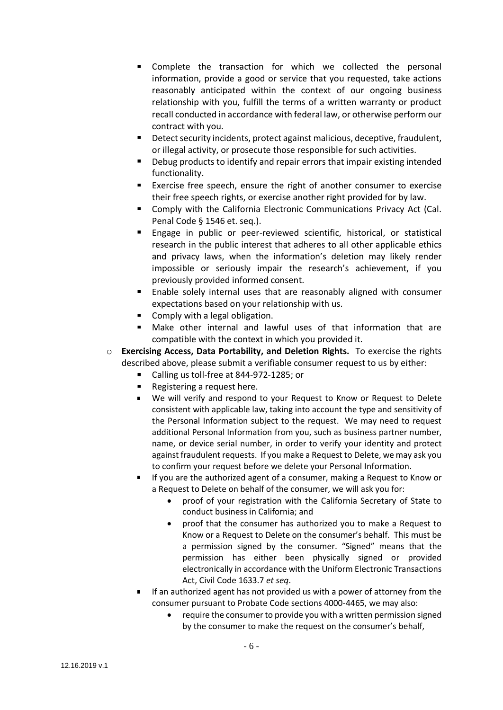- $\blacksquare$ Complete the transaction for which we collected the personal information, provide a good or service that you requested, take actions reasonably anticipated within the context of our ongoing business relationship with you, fulfill the terms of a written warranty or product recall conducted in accordance with federal law, or otherwise perform our contract with you.
- Detect security incidents, protect against malicious, deceptive, fraudulent,  $\mathbf{m}$  . or illegal activity, or prosecute those responsible for such activities.
- Debug products to identify and repair errors that impair existing intended functionality.
- $\blacksquare$ Exercise free speech, ensure the right of another consumer to exercise their free speech rights, or exercise another right provided for by law.
- Comply with the California Electronic Communications Privacy Act (Cal. Penal Code § 1546 et. seq.).
- **Engage in public or peer-reviewed scientific, historical, or statistical** research in the public interest that adheres to all other applicable ethics and privacy laws, when the information's deletion may likely render impossible or seriously impair the research's achievement, if you previously provided informed consent.
- Enable solely internal uses that are reasonably aligned with consumer expectations based on your relationship with us.
- **Comply with a legal obligation.**
- Make other internal and lawful uses of that information that are  $\blacksquare$ compatible with the context in which you provided it.
- o **Exercising Access, Data Portability, and Deletion Rights.** To exercise the rights described above, please submit a verifiable consumer request to us by either:
	- $\blacksquare$ Calling us toll-free at 844-972-1285; or
	- Registering a request [here.](https://compliance.snapon.com/gdpr/RequestForm.aspx?co=SnapOnDiagnostics&dl=en&rt=2)
	- $\blacksquare$ We will verify and respond to your Request to Know or Request to Delete consistent with applicable law, taking into account the type and sensitivity of the Personal Information subject to the request. We may need to request additional Personal Information from you, such as business partner number, name, or device serial number, in order to verify your identity and protect against fraudulent requests. If you make a Request to Delete, we may ask you to confirm your request before we delete your Personal Information.
	- $\blacksquare$ If you are the authorized agent of a consumer, making a Request to Know or a Request to Delete on behalf of the consumer, we will ask you for:
		- proof of your registration with the California Secretary of State to conduct business in California; and
		- proof that the consumer has authorized you to make a Request to Know or a Request to Delete on the consumer's behalf. This must be a permission signed by the consumer. "Signed" means that the permission has either been physically signed or provided electronically in accordance with the Uniform Electronic Transactions Act, Civil Code 1633.7 *et seq*.
	- If an authorized agent has not provided us with a power of attorney from the consumer pursuant to Probate Code sections 4000-4465, we may also:
		- require the consumer to provide you with a written permission signed by the consumer to make the request on the consumer's behalf,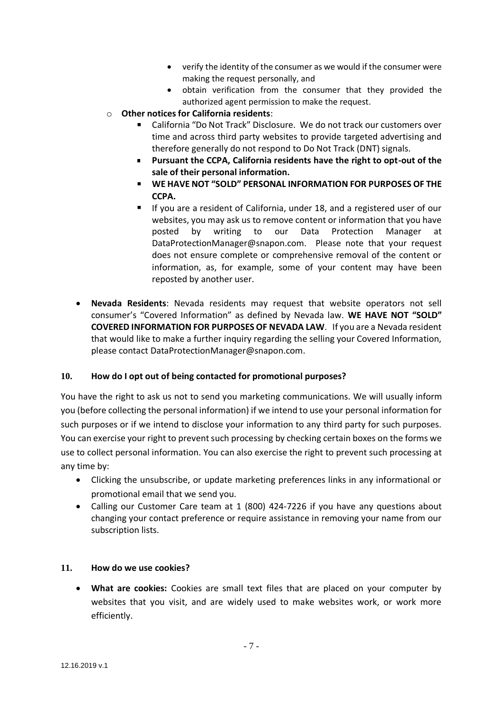- verify the identity of the consumer as we would if the consumer were making the request personally, and
- obtain verification from the consumer that they provided the authorized agent permission to make the request.
- o **Other notices for California residents**:
	- California "Do Not Track" Disclosure. We do not track our customers over time and across third party websites to provide targeted advertising and therefore generally do not respond to Do Not Track (DNT) signals.
	- $\blacksquare$ **Pursuant the CCPA, California residents have the right to opt-out of the sale of their personal information.**
	- **WE HAVE NOT "SOLD" PERSONAL INFORMATION FOR PURPOSES OF THE CCPA.**
	- If you are a resident of California, under 18, and a registered user of our websites, you may ask us to remove content or information that you have posted by writing to our Data Protection Manager at [DataProtectionManager@snapon.com.](mailto:DataProtectionManager@snapon.com) Please note that your request does not ensure complete or comprehensive removal of the content or information, as, for example, some of your content may have been reposted by another user.
- **Nevada Residents**: Nevada residents may request that website operators not sell consumer's "Covered Information" as defined by Nevada law. **WE HAVE NOT "SOLD" COVERED INFORMATION FOR PURPOSES OF NEVADA LAW**. If you are a Nevada resident that would like to make a further inquiry regarding the selling your Covered Information, please contact [DataProtectionManager@snapon.com.](mailto:DataProtectionManager@snapon.com)

### **10. How do I opt out of being contacted for promotional purposes?**

You have the right to ask us not to send you marketing communications. We will usually inform you (before collecting the personal information) if we intend to use your personal information for such purposes or if we intend to disclose your information to any third party for such purposes. You can exercise your right to prevent such processing by checking certain boxes on the forms we use to collect personal information. You can also exercise the right to prevent such processing at any time by:

- Clicking the unsubscribe, or update marketing preferences links in any informational or promotional email that we send you.
- Calling our Customer Care team at 1 (800) 424-7226 if you have any questions about changing your contact preference or require assistance in removing your name from our subscription lists.

### <span id="page-6-0"></span>**11. How do we use cookies?**

• **What are cookies:** Cookies are small text files that are placed on your computer by websites that you visit, and are widely used to make websites work, or work more efficiently.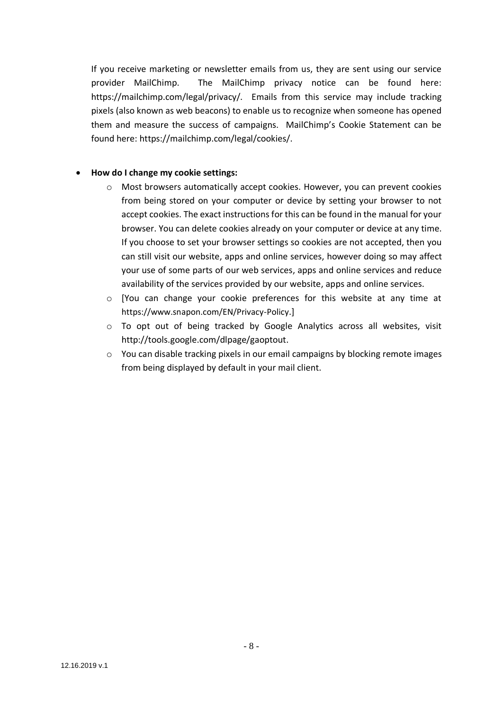If you receive marketing or newsletter emails from us, they are sent using our service provider MailChimp. The MailChimp privacy notice can be found here: https://mailchimp.com/legal/privacy/. Emails from this service may include tracking pixels (also known as web beacons) to enable us to recognize when someone has opened them and measure the success of campaigns. MailChimp's Cookie Statement can be found here: https://mailchimp.com/legal/cookies/.

### • **How do I change my cookie settings:**

- o Most browsers automatically accept cookies. However, you can prevent cookies from being stored on your computer or device by setting your browser to not accept cookies. The exact instructions for this can be found in the manual for your browser. You can delete cookies already on your computer or device at any time. If you choose to set your browser settings so cookies are not accepted, then you can still visit our website, apps and online services, however doing so may affect your use of some parts of our web services, apps and online services and reduce availability of the services provided by our website, apps and online services.
- o [You can change your cookie preferences for this website at any time at <https://www.snapon.com/EN/Privacy-Policy>.]
- $\circ$  To opt out of being tracked by Google Analytics across all websites, visit [http://tools.google.com/dlpage/gaoptout.](http://tools.google.com/dlpage/gaoptout)
- $\circ$  You can disable tracking pixels in our email campaigns by blocking remote images from being displayed by default in your mail client.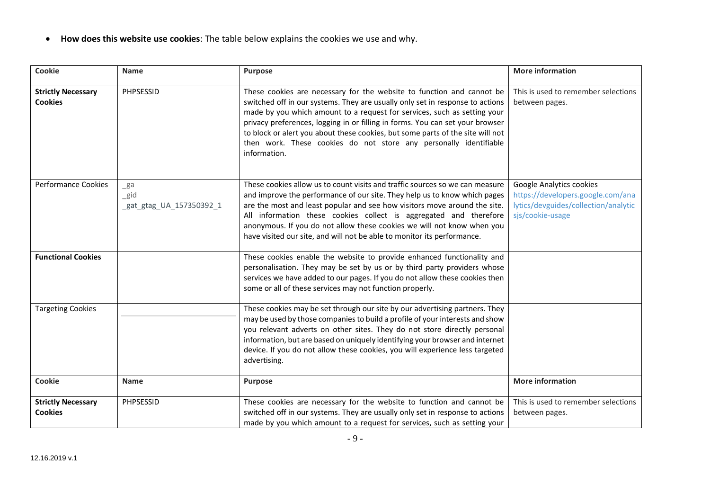• **How does this website use cookies**: The table below explains the cookies we use and why.

| <b>Cookie</b>                               | <b>Name</b>                              | <b>Purpose</b>                                                                                                                                                                                                                                                                                                                                                                                                                                                                             | <b>More information</b>                                                                                                   |
|---------------------------------------------|------------------------------------------|--------------------------------------------------------------------------------------------------------------------------------------------------------------------------------------------------------------------------------------------------------------------------------------------------------------------------------------------------------------------------------------------------------------------------------------------------------------------------------------------|---------------------------------------------------------------------------------------------------------------------------|
| <b>Strictly Necessary</b><br><b>Cookies</b> | PHPSESSID                                | These cookies are necessary for the website to function and cannot be<br>switched off in our systems. They are usually only set in response to actions<br>made by you which amount to a request for services, such as setting your<br>privacy preferences, logging in or filling in forms. You can set your browser<br>to block or alert you about these cookies, but some parts of the site will not<br>then work. These cookies do not store any personally identifiable<br>information. | This is used to remember selections<br>between pages.                                                                     |
| <b>Performance Cookies</b>                  | ga<br>$\_gid$<br>gat_gtag_UA_157350392_1 | These cookies allow us to count visits and traffic sources so we can measure<br>and improve the performance of our site. They help us to know which pages<br>are the most and least popular and see how visitors move around the site.<br>All information these cookies collect is aggregated and therefore<br>anonymous. If you do not allow these cookies we will not know when you<br>have visited our site, and will not be able to monitor its performance.                           | Google Analytics cookies<br>https://developers.google.com/ana<br>lytics/devguides/collection/analytic<br>sjs/cookie-usage |
| <b>Functional Cookies</b>                   |                                          | These cookies enable the website to provide enhanced functionality and<br>personalisation. They may be set by us or by third party providers whose<br>services we have added to our pages. If you do not allow these cookies then<br>some or all of these services may not function properly.                                                                                                                                                                                              |                                                                                                                           |
| <b>Targeting Cookies</b>                    |                                          | These cookies may be set through our site by our advertising partners. They<br>may be used by those companies to build a profile of your interests and show<br>you relevant adverts on other sites. They do not store directly personal<br>information, but are based on uniquely identifying your browser and internet<br>device. If you do not allow these cookies, you will experience less targeted<br>advertising.                                                                    |                                                                                                                           |
| <b>Cookie</b>                               | <b>Name</b>                              | Purpose                                                                                                                                                                                                                                                                                                                                                                                                                                                                                    | <b>More information</b>                                                                                                   |
| <b>Strictly Necessary</b><br><b>Cookies</b> | PHPSESSID                                | These cookies are necessary for the website to function and cannot be<br>switched off in our systems. They are usually only set in response to actions<br>made by you which amount to a request for services, such as setting your                                                                                                                                                                                                                                                         | This is used to remember selections<br>between pages.                                                                     |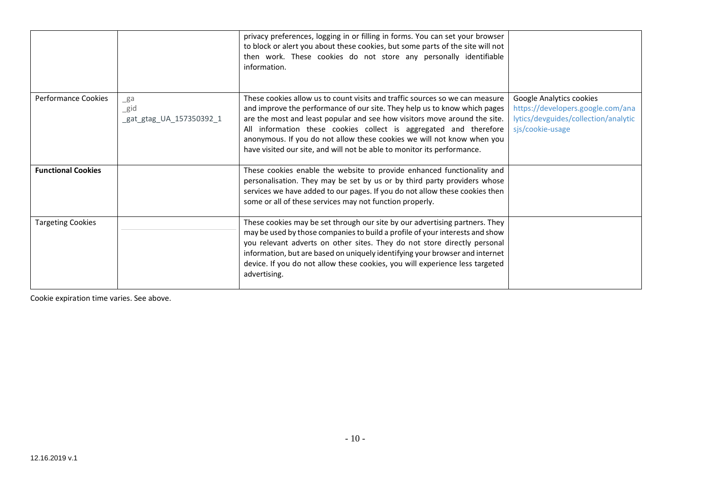|                           |                                            | privacy preferences, logging in or filling in forms. You can set your browser<br>to block or alert you about these cookies, but some parts of the site will not<br>then work. These cookies do not store any personally identifiable<br>information.                                                                                                                                                                                                             |                                                                                                                           |
|---------------------------|--------------------------------------------|------------------------------------------------------------------------------------------------------------------------------------------------------------------------------------------------------------------------------------------------------------------------------------------------------------------------------------------------------------------------------------------------------------------------------------------------------------------|---------------------------------------------------------------------------------------------------------------------------|
| Performance Cookies       | ga<br>$\_$ gid<br>gat_gtag_UA_157350392_1_ | These cookies allow us to count visits and traffic sources so we can measure<br>and improve the performance of our site. They help us to know which pages<br>are the most and least popular and see how visitors move around the site.<br>All information these cookies collect is aggregated and therefore<br>anonymous. If you do not allow these cookies we will not know when you<br>have visited our site, and will not be able to monitor its performance. | Google Analytics cookies<br>https://developers.google.com/ana<br>lytics/devguides/collection/analytic<br>sjs/cookie-usage |
| <b>Functional Cookies</b> |                                            | These cookies enable the website to provide enhanced functionality and<br>personalisation. They may be set by us or by third party providers whose<br>services we have added to our pages. If you do not allow these cookies then<br>some or all of these services may not function properly.                                                                                                                                                                    |                                                                                                                           |
| <b>Targeting Cookies</b>  |                                            | These cookies may be set through our site by our advertising partners. They<br>may be used by those companies to build a profile of your interests and show<br>you relevant adverts on other sites. They do not store directly personal<br>information, but are based on uniquely identifying your browser and internet<br>device. If you do not allow these cookies, you will experience less targeted<br>advertising.                                          |                                                                                                                           |

Cookie expiration time varies. See above.